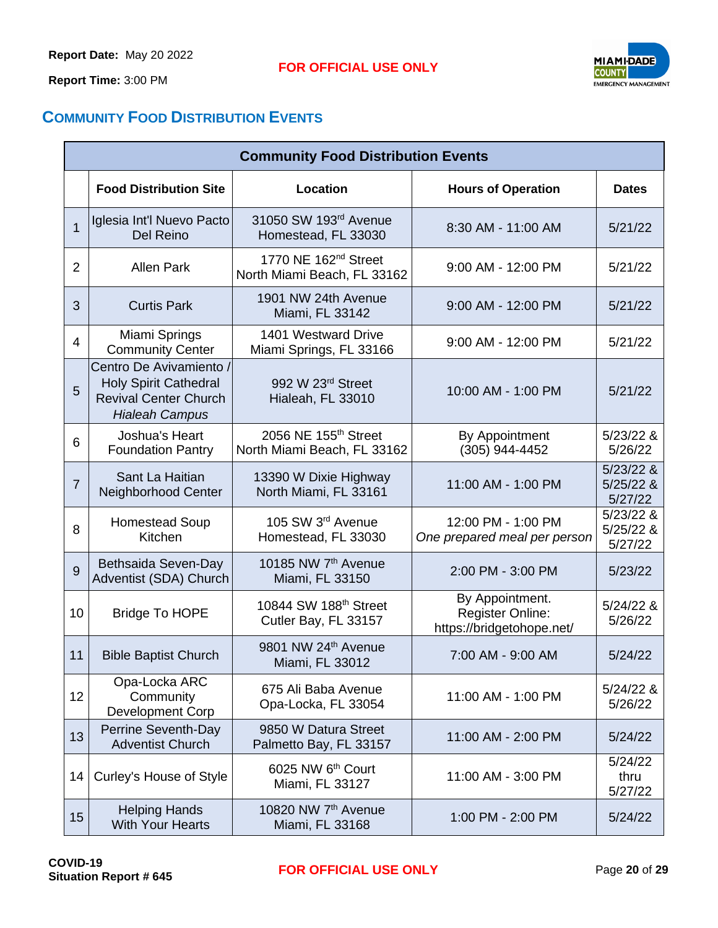**Report Time:** 3:00 PM



## **COMMUNITY FOOD DISTRIBUTION EVENTS**

|              | <b>Community Food Distribution Events</b>                                                                        |                                                                 |                                                                         |                                       |  |  |  |
|--------------|------------------------------------------------------------------------------------------------------------------|-----------------------------------------------------------------|-------------------------------------------------------------------------|---------------------------------------|--|--|--|
|              | <b>Food Distribution Site</b>                                                                                    | Location                                                        | <b>Hours of Operation</b>                                               | <b>Dates</b>                          |  |  |  |
| $\mathbf{1}$ | Iglesia Int'l Nuevo Pacto<br>Del Reino                                                                           | 31050 SW 193 <sup>rd</sup> Avenue<br>Homestead, FL 33030        | 8:30 AM - 11:00 AM                                                      | 5/21/22                               |  |  |  |
| 2            | <b>Allen Park</b>                                                                                                | 1770 NE 162 <sup>nd</sup> Street<br>North Miami Beach, FL 33162 | 9:00 AM - 12:00 PM                                                      | 5/21/22                               |  |  |  |
| 3            | <b>Curtis Park</b>                                                                                               | 1901 NW 24th Avenue<br>Miami, FL 33142                          | 9:00 AM - 12:00 PM                                                      | 5/21/22                               |  |  |  |
| 4            | Miami Springs<br><b>Community Center</b>                                                                         | 1401 Westward Drive<br>Miami Springs, FL 33166                  | 9:00 AM - 12:00 PM                                                      | 5/21/22                               |  |  |  |
| 5            | Centro De Avivamiento /<br><b>Holy Spirit Cathedral</b><br><b>Revival Center Church</b><br><b>Hialeah Campus</b> | 992 W 23rd Street<br>Hialeah, FL 33010                          | 10:00 AM - 1:00 PM                                                      | 5/21/22                               |  |  |  |
| 6            | Joshua's Heart<br><b>Foundation Pantry</b>                                                                       | 2056 NE 155 <sup>th</sup> Street<br>North Miami Beach, FL 33162 | By Appointment<br>(305) 944-4452                                        | $5/23/22$ &<br>5/26/22                |  |  |  |
| 7            | Sant La Haitian<br>Neighborhood Center                                                                           | 13390 W Dixie Highway<br>North Miami, FL 33161                  | 11:00 AM - 1:00 PM                                                      | $5/23/22$ &<br>$5/25/22$ &<br>5/27/22 |  |  |  |
| 8            | <b>Homestead Soup</b><br>Kitchen                                                                                 | 105 SW 3rd Avenue<br>Homestead, FL 33030                        | 12:00 PM - 1:00 PM<br>One prepared meal per person                      | $5/23/22$ &<br>$5/25/22$ &<br>5/27/22 |  |  |  |
| 9            | Bethsaida Seven-Day<br>Adventist (SDA) Church                                                                    | 10185 NW 7th Avenue<br>Miami, FL 33150                          | 2:00 PM - 3:00 PM                                                       | 5/23/22                               |  |  |  |
| 10           | <b>Bridge To HOPE</b>                                                                                            | 10844 SW 188 <sup>th</sup> Street<br>Cutler Bay, FL 33157       | By Appointment.<br><b>Register Online:</b><br>https://bridgetohope.net/ | $5/24/22$ &<br>5/26/22                |  |  |  |
| 11           | <b>Bible Baptist Church</b>                                                                                      | 9801 NW 24th Avenue<br>Miami, FL 33012                          | 7:00 AM - 9:00 AM                                                       | 5/24/22                               |  |  |  |
| 12           | Opa-Locka ARC<br>Community<br>Development Corp                                                                   | 675 Ali Baba Avenue<br>Opa-Locka, FL 33054                      | 11:00 AM - 1:00 PM                                                      | $5/24/22$ &<br>5/26/22                |  |  |  |
| 13           | Perrine Seventh-Day<br><b>Adventist Church</b>                                                                   | 9850 W Datura Street<br>Palmetto Bay, FL 33157                  | 11:00 AM - 2:00 PM                                                      | 5/24/22                               |  |  |  |
| 14           | Curley's House of Style                                                                                          | 6025 NW 6 <sup>th</sup> Court<br>Miami, FL 33127                | 11:00 AM - 3:00 PM                                                      | 5/24/22<br>thru<br>5/27/22            |  |  |  |
| 15           | <b>Helping Hands</b><br><b>With Your Hearts</b>                                                                  | 10820 NW 7th Avenue<br>Miami, FL 33168                          | 1:00 PM - 2:00 PM                                                       | 5/24/22                               |  |  |  |